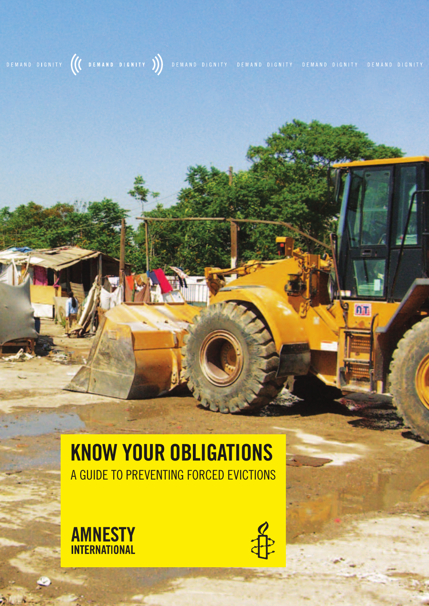## DEMAND DIGNITY (C DEMAND DIGNITY )) DEMAND DIGNITY DEMAND DIGNITY DEMAND DIGNITY DEMAND DIGNITY

## **KNOW YOUR OBLIGATIONS** A GUIDE TO PREVENTING FORCED EVICTIONS





n<sub>T</sub>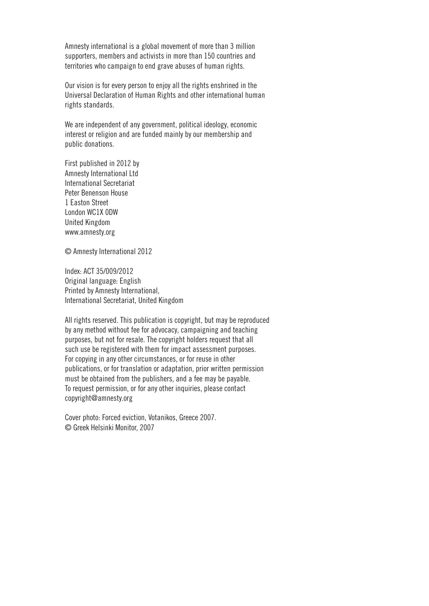Amnesty international is a global movement of more than 3 million supporters, members and activists in more than 150 countries and territories who campaign to end grave abuses of human rights.

Our vision is for every person to enjoy all the rights enshrined in the Universal Declaration of Human Rights and other international human rights standards.

We are independent of any government, political ideology, economic interest or religion and are funded mainly by our membership and public donations.

First published in 2012 by Amnesty International Ltd International Secretariat Peter Benenson House 1 Easton Street London WC1X 0DW United Kingdom www.amnesty.org

© Amnesty International 2012

Index: ACT 35/009/2012 Original language: English Printed by Amnesty International, International Secretariat, United Kingdom

All rights reserved. This publication is copyright, but may be reproduced by any method without fee for advocacy, campaigning and teaching purposes, but not for resale. The copyright holders request that all such use be registered with them for impact assessment purposes. For copying in any other circumstances, or for reuse in other publications, or for translation or adaptation, prior written permission must be obtained from the publishers, and a fee may be payable. To request permission, or for any other inquiries, please contact copyright@amnesty.org

Cover photo: Forced eviction, Votanikos, Greece 2007. © Greek Helsinki Monitor, 2007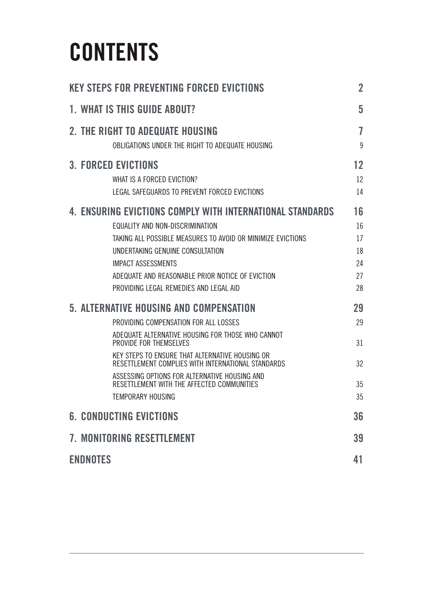## **CONTeNTS**

| <b>KEY STEPS FOR PREVENTING FORCED EVICTIONS</b>                                                                                                                                                                                                                                                                                                                                             | $\overline{2}$                         |
|----------------------------------------------------------------------------------------------------------------------------------------------------------------------------------------------------------------------------------------------------------------------------------------------------------------------------------------------------------------------------------------------|----------------------------------------|
| 1. WHAT IS THIS GUIDE ABOUT?                                                                                                                                                                                                                                                                                                                                                                 | 5                                      |
| 2. THE RIGHT TO ADEQUATE HOUSING<br>OBLIGATIONS UNDER THE RIGHT TO ADEQUATE HOUSING                                                                                                                                                                                                                                                                                                          | 7<br>9                                 |
| <b>3. FORCED EVICTIONS</b><br>WHAT IS A FORCED EVICTION?<br>LEGAL SAFEGUARDS TO PREVENT FORCED EVICTIONS                                                                                                                                                                                                                                                                                     | 12<br>12<br>14                         |
| 4. ENSURING EVICTIONS COMPLY WITH INTERNATIONAL STANDARDS<br>EQUALITY AND NON-DISCRIMINATION<br>TAKING ALL POSSIBLE MEASURES TO AVOID OR MINIMIZE EVICTIONS<br>UNDERTAKING GENUINE CONSULTATION<br><b>IMPACT ASSESSMENTS</b><br>ADEQUATE AND REASONABLE PRIOR NOTICE OF EVICTION<br>PROVIDING LEGAL REMEDIES AND LEGAL AID                                                                   | 16<br>16<br>17<br>18<br>24<br>27<br>28 |
| 5. ALTERNATIVE HOUSING AND COMPENSATION<br>PROVIDING COMPENSATION FOR ALL LOSSES<br>ADEQUATE ALTERNATIVE HOUSING FOR THOSE WHO CANNOT<br>PROVIDE FOR THEMSELVES<br>KEY STEPS TO ENSURE THAT ALTERNATIVE HOUSING OR<br>RESETTLEMENT COMPLIES WITH INTERNATIONAL STANDARDS<br>ASSESSING OPTIONS FOR ALTERNATIVE HOUSING AND<br>RESETTLEMENT WITH THE AFFECTED COMMUNITIES<br>TEMPORARY HOUSING | 29<br>29<br>31<br>32<br>35<br>35       |
| <b>6. CONDUCTING EVICTIONS</b>                                                                                                                                                                                                                                                                                                                                                               | 36                                     |
| 7. MONITORING RESETTLEMENT                                                                                                                                                                                                                                                                                                                                                                   | 39                                     |
| <b>ENDNOTES</b>                                                                                                                                                                                                                                                                                                                                                                              | 41                                     |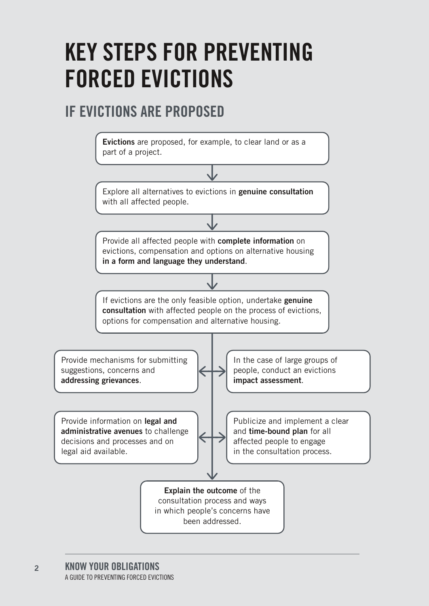## **KeY STepS fOR pReveNTING fORCed evICTIONS**

## **If evICTIONS ARe pROpOSed**

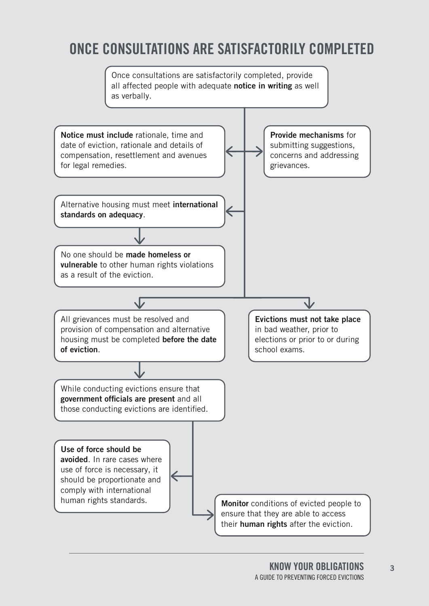## **ONCe CONSULTATIONS ARe SATISfACTORILY COmpLeTed**

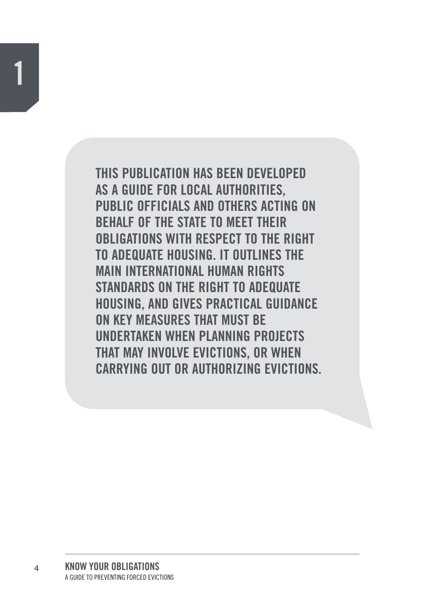THIS PUBLICATION HAS BEEN DEVELOPED AS A GUIDE FOR LOCAL AUTHORITIES. **PUBLIC OFFICIALS AND OTHERS ACTING ON BEHALF OF THE STATE TO MEET THEIR** OBLIGATIONS WITH RESPECT TO THE RIGHT TO ADEQUATE HOUSING. IT OUTLINES THE **MAIN INTERNATIONAL HUMAN RIGHTS** STANDARDS ON THE RIGHT TO ADEQUATE HOUSING, AND GIVES PRACTICAL GUIDANCE ON KEY MEASURES THAT MUST BE **IINDERTAKEN WHEN PLANNING PROJECTS** THAT MAY INVOLVE EVICTIONS, OR WHEN CARRYING OUT OR AUTHORIZING EVICTIONS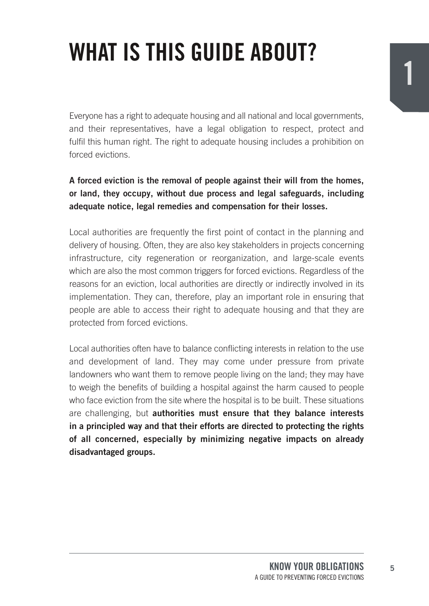# **WhAT IS ThIS GUIde ABOUT?**

Everyone has a right to adequate housing and all national and local governments, and their representatives, have a legal obligation to respect, protect and fulfil this human right. The right to adequate housing includes a prohibition on forced evictions.

#### **A forced eviction is the removal of people against their will from the homes, or land, they occupy, without due process and legal safeguards, including adequate notice, legal remedies and compensation for their losses.**

Local authorities are frequently the first point of contact in the planning and delivery of housing. Often, they are also key stakeholders in projects concerning infrastructure, city regeneration or reorganization, and large-scale events which are also the most common triggers for forced evictions. Regardless of the reasons for an eviction, local authorities are directly or indirectly involved in its implementation. They can, therefore, play an important role in ensuring that people are able to access their right to adequate housing and that they are protected from forced evictions.

Local authorities often have to balance conflicting interests in relation to the use and development of land. They may come under pressure from private landowners who want them to remove people living on the land; they may have to weigh the benefits of building a hospital against the harm caused to people who face eviction from the site where the hospital is to be built. These situations are challenging, but **authorities must ensure that they balance interests in a principled way and that their efforts are directed to protecting the rights of all concerned, especially by minimizing negative impacts on already disadvantaged groups.**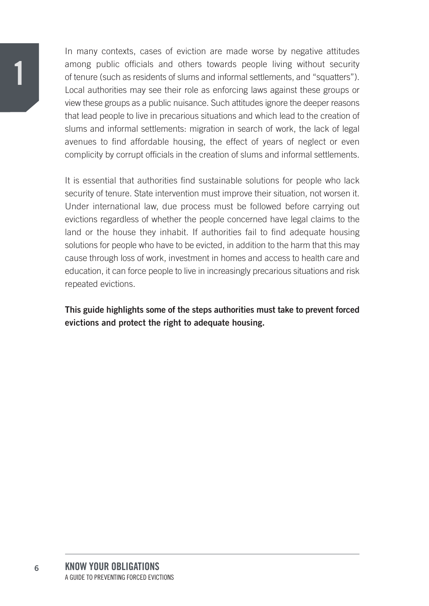In many contexts, cases of eviction are made worse by negative attitudes among public officials and others towards people living without security of tenure (such as residents of slums and informal settlements, and "squatters"). Local authorities may see their role as enforcing laws against these groups or view these groups as a public nuisance. Such attitudes ignore the deeper reasons that lead people to live in precarious situations and which lead to the creation of slums and informal settlements: migration in search of work, the lack of legal avenues to find affordable housing, the effect of years of neglect or even complicity by corrupt officials in the creation of slums and informal settlements.

It is essential that authorities find sustainable solutions for people who lack security of tenure. State intervention must improve their situation, not worsen it. Under international law, due process must be followed before carrying out evictions regardless of whether the people concerned have legal claims to the land or the house they inhabit. If authorities fail to find adequate housing solutions for people who have to be evicted, in addition to the harm that this may cause through loss of work, investment in homes and access to health care and education, it can force people to live in increasingly precarious situations and risk repeated evictions.

**This guide highlights some of the steps authorities must take to prevent forced evictions and protect the right to adequate housing.**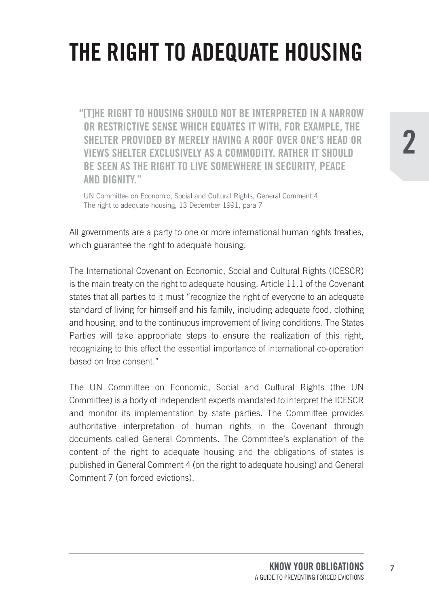# **The RIGhT TO AdeqUATe hOUSING**

**"[T]he RIGhT TO hOUSING ShOULd NOT Be INTeRpReTed IN A NARROW OR ReSTRICTIve SeNSe WhICh eqUATeS IT WITh, fOR exAmpLe, The SheLTeR pROvIded BY meReLY hAvING A ROOf OveR ONe'S heAd OR vIeWS SheLTeR exCLUSIveLY AS A COmmOdITY. RATheR IT ShOULd Be SeeN AS The RIGhT TO LIve SOmeWheRe IN SeCURITY, peACe ANd dIGNITY."**

UN Committee on Economic, Social and Cultural Rights, General Comment 4: The right to adequate housing, 13 December 1991, para 7

All governments are a party to one or more international human rights treaties, which guarantee the right to adequate housing.

The International Covenant on Economic, Social and Cultural Rights (ICESCR) is the main treaty on the right to adequate housing. Article 11.1 of the Covenant states that all parties to it must "recognize the right of everyone to an adequate standard of living for himself and his family, including adequate food, clothing and housing, and to the continuous improvement of living conditions. The States Parties will take appropriate steps to ensure the realization of this right, recognizing to this effect the essential importance of international co-operation based on free consent."

The UN Committee on Economic, Social and Cultural Rights (the UN Committee) is a body of independent experts mandated to interpret the ICESCR and monitor its implementation by state parties. The Committee provides authoritative interpretation of human rights in the Covenant through documents called General Comments. The Committee's explanation of the content of the right to adequate housing and the obligations of states is published in General Comment 4 (on the right to adequate housing) and General Comment 7 (on forced evictions).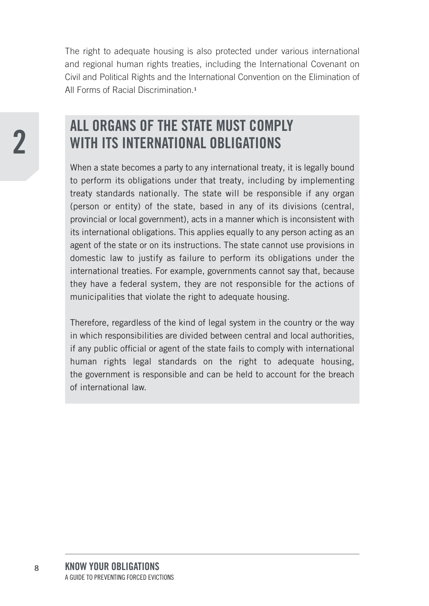The right to adequate housing is also protected under various international and regional human rights treaties, including the International Covenant on Civil and Political Rights and the International Convention on the Elimination of All Forms of Racial Discrimination.**<sup>1</sup>**

### **ALL ORGANS Of The STATe mUST COmpLY WITh ITS INTeRNATIONAL OBLIGATIONS**

When a state becomes a party to any international treaty, it is legally bound to perform its obligations under that treaty, including by implementing treaty standards nationally. The state will be responsible if any organ (person or entity) of the state, based in any of its divisions (central, provincial or local government), acts in a manner which is inconsistent with its international obligations. This applies equally to any person acting as an agent of the state or on its instructions. The state cannot use provisions in domestic law to justify as failure to perform its obligations under the international treaties. For example, governments cannot say that, because they have a federal system, they are not responsible for the actions of municipalities that violate the right to adequate housing.

Therefore, regardless of the kind of legal system in the country or the way in which responsibilities are divided between central and local authorities, if any public official or agent of the state fails to comply with international human rights legal standards on the right to adequate housing, the government is responsible and can be held to account for the breach of international law.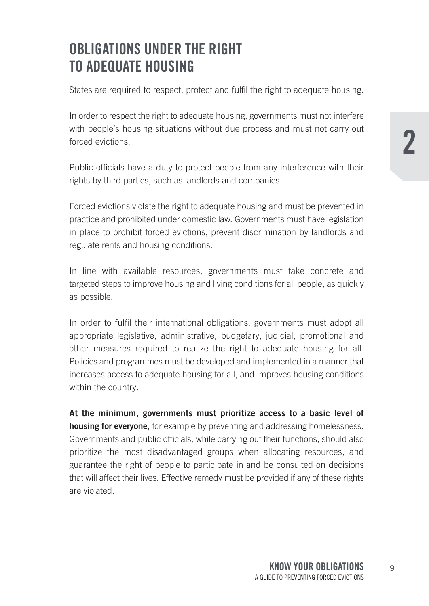## **OBLIGATIONS UNdeR The RIGhT TO AdeqUATe hOUSING**

States are required to respect, protect and fulfil the right to adequate housing.

In order to respect the right to adequate housing, governments must not interfere with people's housing situations without due process and must not carry out forced evictions.

Public officials have a duty to protect people from any interference with their rights by third parties, such as landlords and companies.

Forced evictions violate the right to adequate housing and must be prevented in practice and prohibited under domestic law. Governments must have legislation in place to prohibit forced evictions, prevent discrimination by landlords and regulate rents and housing conditions.

In line with available resources, governments must take concrete and targeted steps to improve housing and living conditions for all people, as quickly as possible.

In order to fulfil their international obligations, governments must adopt all appropriate legislative, administrative, budgetary, judicial, promotional and other measures required to realize the right to adequate housing for all. Policies and programmes must be developed and implemented in a manner that increases access to adequate housing for all, and improves housing conditions within the country.

**At the minimum, governments must prioritize access to a basic level of housing for everyone**, for example by preventing and addressing homelessness. Governments and public officials, while carrying out their functions, should also prioritize the most disadvantaged groups when allocating resources, and guarantee the right of people to participate in and be consulted on decisions that will affect their lives. Effective remedy must be provided if any of these rights are violated.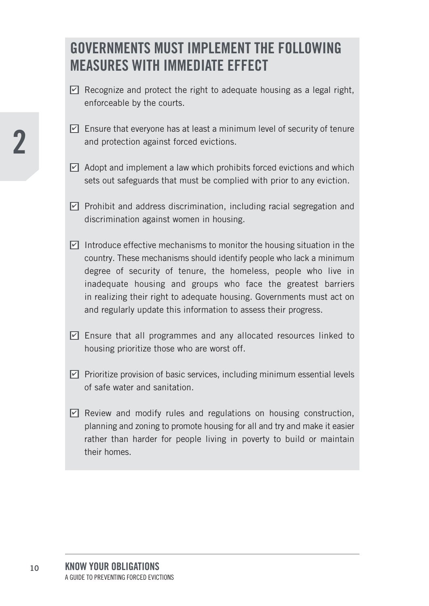### **GOVERNMENTS MILST IMPLEMENT THE FOLLOWING meASUReS WITh ImmedIATe effeCT**

- $\Delta$  Recognize and protect the right to adequate housing as a legal right, enforceable by the courts.
- $\trianglelefteq$  Ensure that everyone has at least a minimum level of security of tenure and protection against forced evictions.
- $\unlhd$  Adopt and implement a law which prohibits forced evictions and which sets out safeguards that must be complied with prior to any eviction.
- $\blacktrianglelefteq$  Prohibit and address discrimination, including racial segregation and discrimination against women in housing.
- $\trianglelefteq$  Introduce effective mechanisms to monitor the housing situation in the country. These mechanisms should identify people who lack a minimum degree of security of tenure, the homeless, people who live in inadequate housing and groups who face the greatest barriers in realizing their right to adequate housing. Governments must act on and regularly update this information to assess their progress.
- $\Box$  Ensure that all programmes and any allocated resources linked to housing prioritize those who are worst off.
- $\blacktriangleright$  Prioritize provision of basic services, including minimum essential levels of safe water and sanitation.
- $\Box$  Review and modify rules and regulations on housing construction, planning and zoning to promote housing for all and try and make it easier rather than harder for people living in poverty to build or maintain their homes.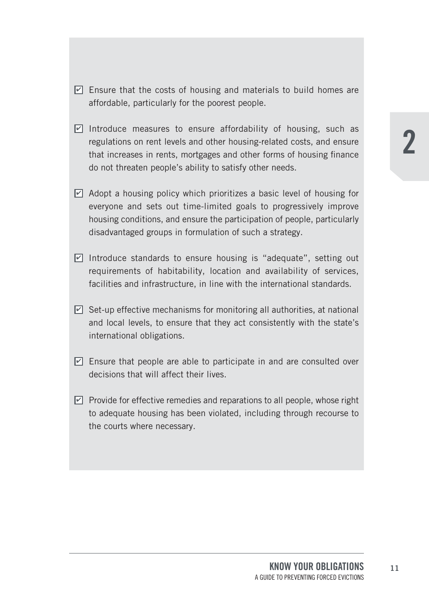- $\mathbf{\Sigma}\text{ }$  Ensure that the costs of housing and materials to build homes are affordable, particularly for the poorest people.
- $\trianglelefteq$  Introduce measures to ensure affordability of housing, such as regulations on rent levels and other housing-related costs, and ensure that increases in rents, mortgages and other forms of housing finance do not threaten people's ability to satisfy other needs.
- $\Delta$  Adopt a housing policy which prioritizes a basic level of housing for everyone and sets out time-limited goals to progressively improve housing conditions, and ensure the participation of people, particularly disadvantaged groups in formulation of such a strategy.
- $\blacktriangleright$  Introduce standards to ensure housing is "adequate", setting out requirements of habitability, location and availability of services, facilities and infrastructure, in line with the international standards.
- $\trianglelefteq$  Set-up effective mechanisms for monitoring all authorities, at national and local levels, to ensure that they act consistently with the state's international obligations.
- $\Box$  Ensure that people are able to participate in and are consulted over decisions that will affect their lives.
- $\blacktrianglelefteq$  Provide for effective remedies and reparations to all people, whose right to adequate housing has been violated, including through recourse to the courts where necessary.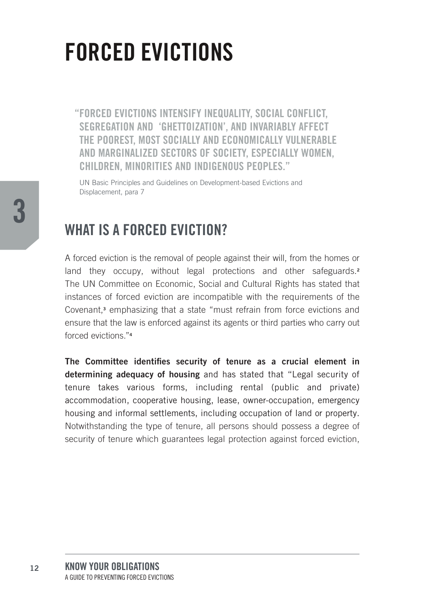## **FORCED EVICTIONS**

"FORCED EVICTIONS INTENSIFY INEQUALITY, SOCIAL CONFLICT. SEGREGATION AND 'GHETTOIZATION'. AND INVARIABLY AFFECT THE POOREST, MOST SOCIALLY AND ECONOMICALLY VULNERABLE AND MARGINALIZED SECTORS OF SOCIETY. ESPECIALLY WOMEN. CHILDREN. MINORITIES AND INDIGENOUS PEOPLES."

UN Basic Principles and Guidelines on Development-based Evictions and Displacement, para 7

### **WHAT IS A FORCED EVICTION?**

A forced eviction is the removal of people against their will, from the homes or land they occupy, without legal protections and other safeguards.<sup>2</sup> The UN Committee on Economic, Social and Cultural Rights has stated that instances of forced eviction are incompatible with the requirements of the Covenant,<sup>3</sup> emphasizing that a state "must refrain from force evictions and ensure that the law is enforced against its agents or third parties who carry out forced evictions "4

The Committee identifies security of tenure as a crucial element in determining adequacy of housing and has stated that "Legal security of tenure takes various forms, including rental (public and private) accommodation, cooperative housing, lease, owner-occupation, emergency housing and informal settlements, including occupation of land or property. Notwithstanding the type of tenure, all persons should possess a degree of security of tenure which guarantees legal protection against forced eviction.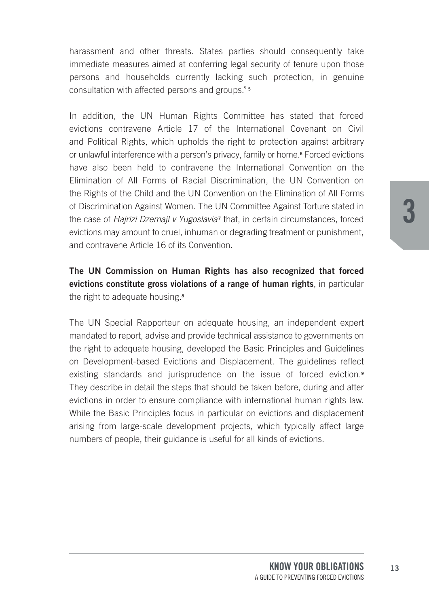harassment and other threats. States parties should consequently take immediate measures aimed at conferring legal security of tenure upon those persons and households currently lacking such protection, in genuine consultation with affected persons and groups." **<sup>5</sup>**

In addition, the UN Human Rights Committee has stated that forced evictions contravene Article 17 of the International Covenant on Civil and Political Rights, which upholds the right to protection against arbitrary or unlawful interference with a person's privacy, family or home.**<sup>6</sup>** Forced evictions have also been held to contravene the International Convention on the Elimination of All Forms of Racial Discrimination, the UN Convention on the Rights of the Child and the UN Convention on the Elimination of All Forms of Discrimination Against Women. The UN Committee Against Torture stated in the case of *Hairizi Dzemail v Yugoslavia*<sup>7</sup> that, in certain circumstances, forced evictions may amount to cruel, inhuman or degrading treatment or punishment, and contravene Article 16 of its Convention.

**The UN Commission on Human Rights has also recognized that forced evictions constitute gross violations of a range of human rights**, in particular the right to adequate housing.**<sup>8</sup>**

The UN Special Rapporteur on adequate housing, an independent expert mandated to report, advise and provide technical assistance to governments on the right to adequate housing, developed the Basic Principles and Guidelines on Development-based Evictions and Displacement. The guidelines reflect existing standards and jurisprudence on the issue of forced eviction.**<sup>9</sup>** They describe in detail the steps that should be taken before, during and after evictions in order to ensure compliance with international human rights law. While the Basic Principles focus in particular on evictions and displacement arising from large-scale development projects, which typically affect large numbers of people, their guidance is useful for all kinds of evictions.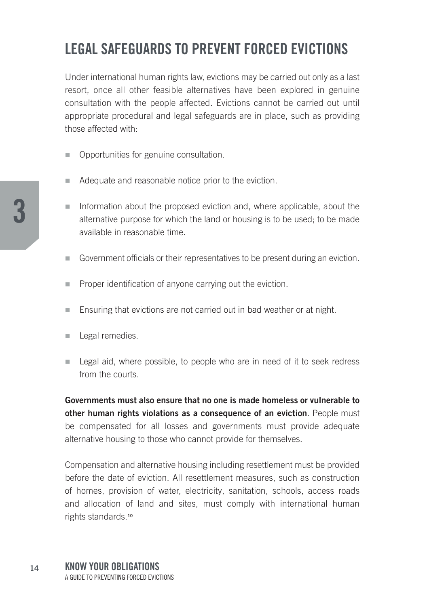## **LeGAL SAfeGUARdS TO pReveNT fORCed evICTIONS**

Under international human rights law, evictions may be carried out only as a last resort, once all other feasible alternatives have been explored in genuine consultation with the people affected. Evictions cannot be carried out until appropriate procedural and legal safeguards are in place, such as providing those affected with:

- Opportunities for genuine consultation.
- Adequate and reasonable notice prior to the eviction.
- $\blacksquare$  Information about the proposed eviction and, where applicable, about the alternative purpose for which the land or housing is to be used; to be made available in reasonable time.
- n Government officials or their representatives to be present during an eviction.
- **Proper identification of anyone carrying out the eviction.**
- Ensuring that evictions are not carried out in bad weather or at night.
- **n** Legal remedies.
- $\blacksquare$  Legal aid, where possible, to people who are in need of it to seek redress from the courts.

**Governments must also ensure that no one is made homeless or vulnerable to other human rights violations as a consequence of an eviction**. People must be compensated for all losses and governments must provide adequate alternative housing to those who cannot provide for themselves.

Compensation and alternative housing including resettlement must be provided before the date of eviction. All resettlement measures, such as construction of homes, provision of water, electricity, sanitation, schools, access roads and allocation of land and sites, must comply with international human rights standards.**<sup>10</sup>**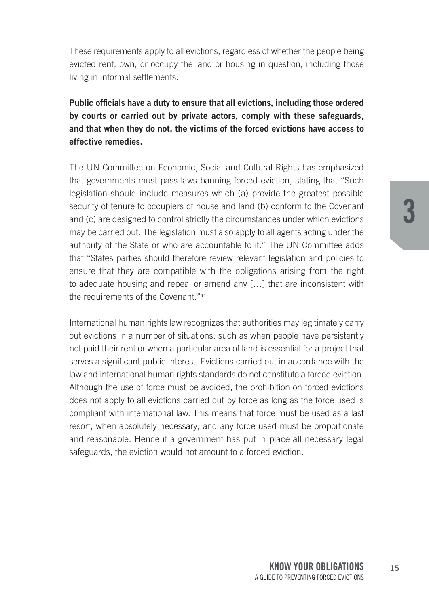These requirements apply to all evictions, regardless of whether the people being evicted rent, own, or occupy the land or housing in question, including those living in informal settlements.

#### **Public officials have a duty to ensure that all evictions, including those ordered by courts or carried out by private actors, comply with these safeguards, and that when they do not, the victims of the forced evictions have access to effective remedies.**

The UN Committee on Economic, Social and Cultural Rights has emphasized that governments must pass laws banning forced eviction, stating that "Such legislation should include measures which (a) provide the greatest possible security of tenure to occupiers of house and land (b) conform to the Covenant and (c) are designed to control strictly the circumstances under which evictions may be carried out. The legislation must also apply to all agents acting under the authority of the State or who are accountable to it." The UN Committee adds that "States parties should therefore review relevant legislation and policies to ensure that they are compatible with the obligations arising from the right to adequate housing and repeal or amend any […] that are inconsistent with the requirements of the Covenant."**<sup>11</sup>**

International human rights law recognizes that authorities may legitimately carry out evictions in a number of situations, such as when people have persistently not paid their rent or when a particular area of land is essential for a project that serves a significant public interest. Evictions carried out in accordance with the law and international human rights standards do not constitute a forced eviction. Although the use of force must be avoided, the prohibition on forced evictions does not apply to all evictions carried out by force as long as the force used is compliant with international law. This means that force must be used as a last resort, when absolutely necessary, and any force used must be proportionate and reasonable. Hence if a government has put in place all necessary legal safeguards, the eviction would not amount to a forced eviction.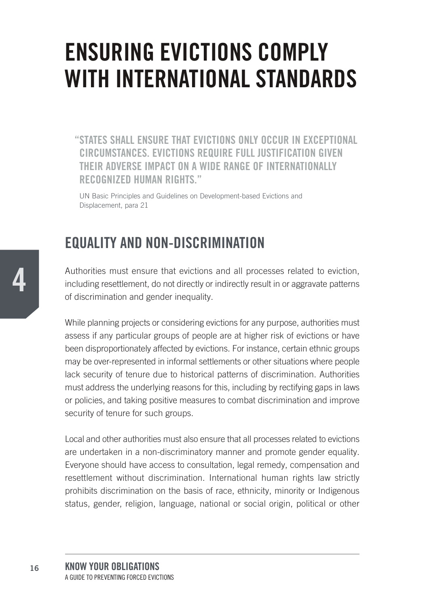## **ENSURING EVICTIONS COMPLY WITH INTERNATIONAL STANDARDS**

"STATES SHALL ENSURE THAT EVICTIONS ONLY OCCUR IN EXCEPTIONAL CIRCUMSTANCES, EVICTIONS REQUIRE FULL JUSTIFICATION GIVEN THEIR ADVERSE IMPACT ON A WIDE RANGE OF INTERNATIONALLY **RECOGNIZED HUMAN RIGHTS."** 

UN Basic Principles and Guidelines on Development-based Evictions and Displacement, para 21

### **EQUALITY AND NON-DISCRIMINATION**

Authorities must ensure that evictions and all processes related to eviction. including resettlement, do not directly or indirectly result in or aggravate patterns of discrimination and gender inequality.

While planning projects or considering evictions for any purpose, authorities must assess if any particular groups of people are at higher risk of evictions or have been disproportionately affected by evictions. For instance, certain ethnic groups may be over-represented in informal settlements or other situations where people lack security of tenure due to historical patterns of discrimination. Authorities must address the underlying reasons for this, including by rectifying gaps in laws or policies, and taking positive measures to combat discrimination and improve security of tenure for such groups.

Local and other authorities must also ensure that all processes related to evictions are undertaken in a non-discriminatory manner and promote gender equality. Evervone should have access to consultation, legal remedy, compensation and resettlement without discrimination. International human rights law strictly prohibits discrimination on the basis of race, ethnicity, minority or Indigenous status, gender, religion, language, national or social origin, political or other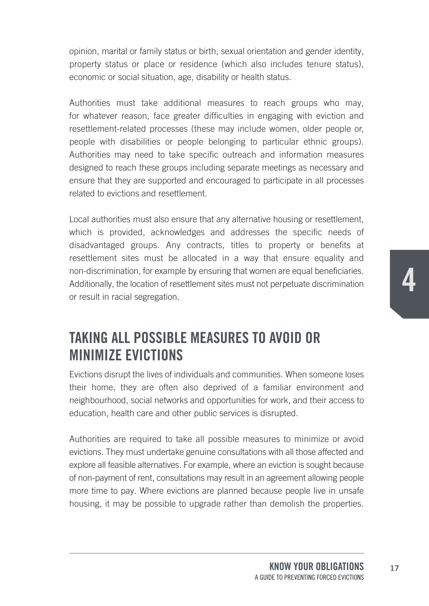opinion, marital or family status or birth, sexual orientation and gender identity, property status or place or residence (which also includes tenure status), economic or social situation, age, disability or health status.

Authorities must take additional measures to reach groups who may, for whatever reason, face greater difficulties in engaging with eviction and resettlement-related processes (these may include women, older people or, people with disabilities or people belonging to particular ethnic groups). Authorities may need to take specific outreach and information measures designed to reach these groups including separate meetings as necessary and ensure that they are supported and encouraged to participate in all processes related to evictions and resettlement.

Local authorities must also ensure that any alternative housing or resettlement, which is provided, acknowledges and addresses the specific needs of disadvantaged groups. Any contracts, titles to property or benefits at resettlement sites must be allocated in a way that ensure equality and non-discrimination, for example by ensuring that women are equal beneficiaries. Additionally, the location of resettlement sites must not perpetuate discrimination or result in racial segregation.

### **TAKING ALL pOSSIBLe meASUReS TO AvOId OR mINImIze evICTIONS**

Evictions disrupt the lives of individuals and communities. When someone loses their home, they are often also deprived of a familiar environment and neighbourhood, social networks and opportunities for work, and their access to education, health care and other public services is disrupted.

Authorities are required to take all possible measures to minimize or avoid evictions. They must undertake genuine consultations with all those affected and explore all feasible alternatives. For example, where an eviction is sought because of non-payment of rent, consultations may result in an agreement allowing people more time to pay. Where evictions are planned because people live in unsafe housing, it may be possible to upgrade rather than demolish the properties.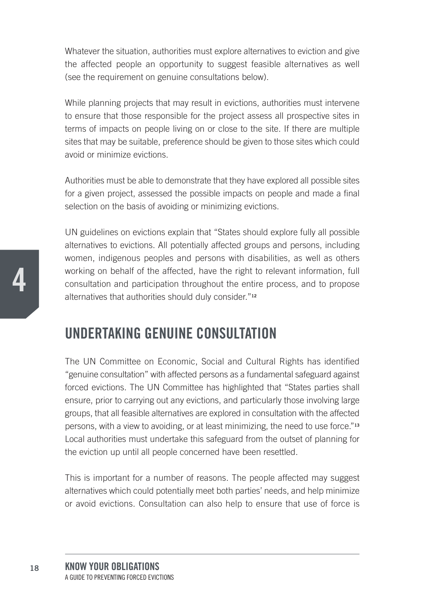Whatever the situation, authorities must explore alternatives to eviction and give the affected people an opportunity to suggest feasible alternatives as well (see the requirement on genuine consultations below).

While planning projects that may result in evictions, authorities must intervene to ensure that those responsible for the project assess all prospective sites in terms of impacts on people living on or close to the site. If there are multiple sites that may be suitable, preference should be given to those sites which could avoid or minimize evictions.

Authorities must be able to demonstrate that they have explored all possible sites for a given project, assessed the possible impacts on people and made a final selection on the basis of avoiding or minimizing evictions.

UN guidelines on evictions explain that "States should explore fully all possible alternatives to evictions. All potentially affected groups and persons, including women, indigenous peoples and persons with disabilities, as well as others working on behalf of the affected, have the right to relevant information, full consultation and participation throughout the entire process, and to propose alternatives that authorities should duly consider."**<sup>12</sup>**

### **UNdeRTAKING GeNUINe CONSULTATION**

The UN Committee on Economic, Social and Cultural Rights has identified "genuine consultation" with affected persons as a fundamental safeguard against forced evictions. The UN Committee has highlighted that "States parties shall ensure, prior to carrying out any evictions, and particularly those involving large groups, that all feasible alternatives are explored in consultation with the affected persons, with a view to avoiding, or at least minimizing, the need to use force."**<sup>13</sup>** Local authorities must undertake this safeguard from the outset of planning for the eviction up until all people concerned have been resettled.

This is important for a number of reasons. The people affected may suggest alternatives which could potentially meet both parties' needs, and help minimize or avoid evictions. Consultation can also help to ensure that use of force is

**4**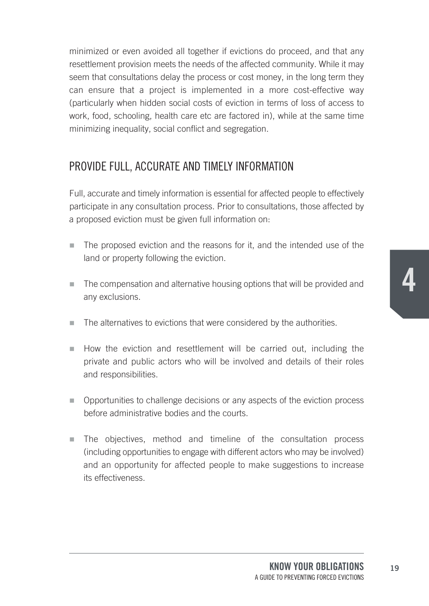minimized or even avoided all together if evictions do proceed, and that any resettlement provision meets the needs of the affected community. While it may seem that consultations delay the process or cost money, in the long term they can ensure that a project is implemented in a more cost-effective way (particularly when hidden social costs of eviction in terms of loss of access to work, food, schooling, health care etc are factored in), while at the same time minimizing inequality, social conflict and segregation.

#### PROVIDE FULL, ACCURATE AND TIMELy INFORMATION

Full, accurate and timely information is essential for affected people to effectively participate in any consultation process. Prior to consultations, those affected by a proposed eviction must be given full information on:

- $\blacksquare$  The proposed eviction and the reasons for it, and the intended use of the land or property following the eviction.
- $\blacksquare$  The compensation and alternative housing options that will be provided and any exclusions.
- $\blacksquare$  The alternatives to evictions that were considered by the authorities.
- $\blacksquare$  How the eviction and resettlement will be carried out, including the private and public actors who will be involved and details of their roles and responsibilities.
- n Opportunities to challenge decisions or any aspects of the eviction process before administrative bodies and the courts.
- n The objectives, method and timeline of the consultation process (including opportunities to engage with different actors who may be involved) and an opportunity for affected people to make suggestions to increase its effectiveness.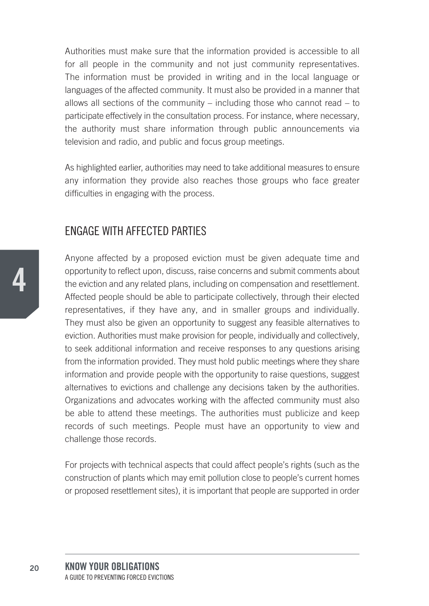Authorities must make sure that the information provided is accessible to all for all people in the community and not just community representatives. The information must be provided in writing and in the local language or languages of the affected community. It must also be provided in a manner that allows all sections of the community – including those who cannot read – to participate effectively in the consultation process. For instance, where necessary, the authority must share information through public announcements via television and radio, and public and focus group meetings.

As highlighted earlier, authorities may need to take additional measures to ensure any information they provide also reaches those groups who face greater difficulties in engaging with the process.

#### ENGAGE WITH AFFECTED PARTIES

Anyone affected by a proposed eviction must be given adequate time and opportunity to reflect upon, discuss, raise concerns and submit comments about the eviction and any related plans, including on compensation and resettlement. Affected people should be able to participate collectively, through their elected representatives, if they have any, and in smaller groups and individually. They must also be given an opportunity to suggest any feasible alternatives to eviction. Authorities must make provision for people, individually and collectively, to seek additional information and receive responses to any questions arising from the information provided. They must hold public meetings where they share information and provide people with the opportunity to raise questions, suggest alternatives to evictions and challenge any decisions taken by the authorities. Organizations and advocates working with the affected community must also be able to attend these meetings. The authorities must publicize and keep records of such meetings. People must have an opportunity to view and challenge those records.

For projects with technical aspects that could affect people's rights (such as the construction of plants which may emit pollution close to people's current homes or proposed resettlement sites), it is important that people are supported in order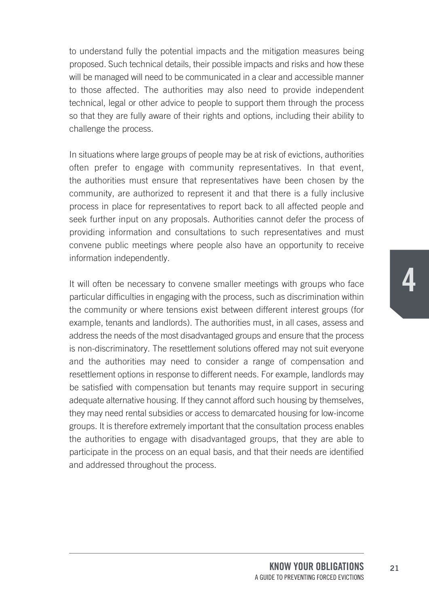to understand fully the potential impacts and the mitigation measures being proposed. Such technical details, their possible impacts and risks and how these will be managed will need to be communicated in a clear and accessible manner to those affected. The authorities may also need to provide independent technical, legal or other advice to people to support them through the process so that they are fully aware of their rights and options, including their ability to challenge the process.

In situations where large groups of people may be at risk of evictions, authorities often prefer to engage with community representatives. In that event, the authorities must ensure that representatives have been chosen by the community, are authorized to represent it and that there is a fully inclusive process in place for representatives to report back to all affected people and seek further input on any proposals. Authorities cannot defer the process of providing information and consultations to such representatives and must convene public meetings where people also have an opportunity to receive information independently.

It will often be necessary to convene smaller meetings with groups who face particular difficulties in engaging with the process, such as discrimination within the community or where tensions exist between different interest groups (for example, tenants and landlords). The authorities must, in all cases, assess and address the needs of the most disadvantaged groups and ensure that the process is non-discriminatory. The resettlement solutions offered may not suit everyone and the authorities may need to consider a range of compensation and resettlement options in response to different needs. For example, landlords may be satisfied with compensation but tenants may require support in securing adequate alternative housing. If they cannot afford such housing by themselves, they may need rental subsidies or access to demarcated housing for low-income groups. It is therefore extremely important that the consultation process enables the authorities to engage with disadvantaged groups, that they are able to participate in the process on an equal basis, and that their needs are identified and addressed throughout the process.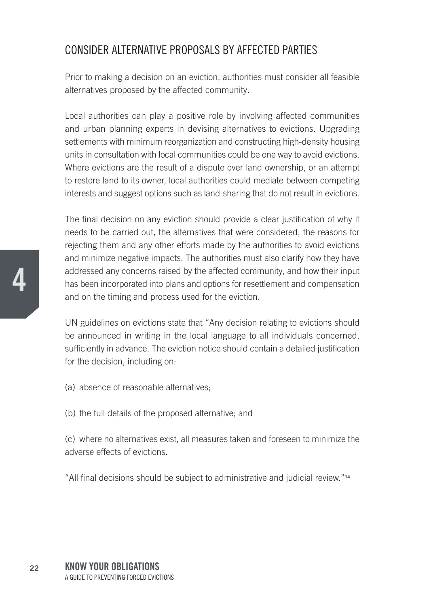#### CONSIDER ALTERNATIVE PROPOSALS By AFFECTED PARTIES

Prior to making a decision on an eviction, authorities must consider all feasible alternatives proposed by the affected community.

Local authorities can play a positive role by involving affected communities and urban planning experts in devising alternatives to evictions. Upgrading settlements with minimum reorganization and constructing high-density housing units in consultation with local communities could be one way to avoid evictions. Where evictions are the result of a dispute over land ownership, or an attempt to restore land to its owner, local authorities could mediate between competing interests and suggest options such as land-sharing that do not result in evictions.

The final decision on any eviction should provide a clear justification of why it needs to be carried out, the alternatives that were considered, the reasons for rejecting them and any other efforts made by the authorities to avoid evictions and minimize negative impacts. The authorities must also clarify how they have addressed any concerns raised by the affected community, and how their input has been incorporated into plans and options for resettlement and compensation and on the timing and process used for the eviction.

UN guidelines on evictions state that "Any decision relating to evictions should be announced in writing in the local language to all individuals concerned, sufficiently in advance. The eviction notice should contain a detailed justification for the decision, including on:

- (a) absence of reasonable alternatives;
- (b) the full details of the proposed alternative; and

(c) where no alternatives exist, all measures taken and foreseen to minimize the adverse effects of evictions.

"All final decisions should be subject to administrative and judicial review."**<sup>14</sup>**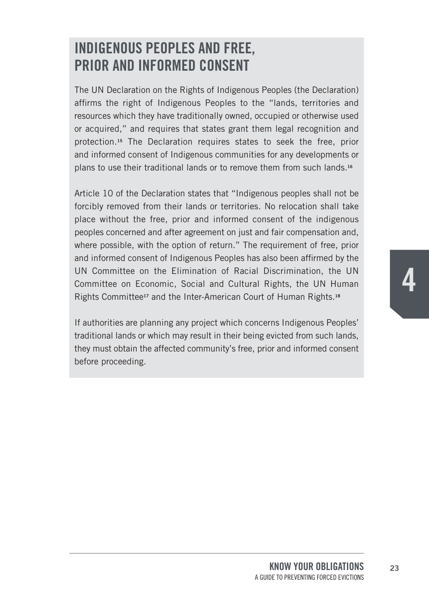## **INdIGeNOUS peOpLeS ANd fRee, pRIOR ANd INfORmed CONSeNT**

The UN Declaration on the Rights of Indigenous Peoples (the Declaration) affirms the right of Indigenous Peoples to the "lands, territories and resources which they have traditionally owned, occupied or otherwise used or acquired," and requires that states grant them legal recognition and protection.**<sup>15</sup>** The Declaration requires states to seek the free, prior and informed consent of Indigenous communities for any developments or plans to use their traditional lands or to remove them from such lands.**<sup>16</sup>**

Article 10 of the Declaration states that "Indigenous peoples shall not be forcibly removed from their lands or territories. No relocation shall take place without the free, prior and informed consent of the indigenous peoples concerned and after agreement on just and fair compensation and, where possible, with the option of return." The requirement of free, prior and informed consent of Indigenous Peoples has also been affirmed by the UN Committee on the Elimination of Racial Discrimination, the UN Committee on Economic, Social and Cultural Rights, the UN Human Rights Committee**<sup>17</sup>** and the Inter-American Court of Human Rights.**<sup>18</sup>**

If authorities are planning any project which concerns Indigenous Peoples' traditional lands or which may result in their being evicted from such lands, they must obtain the affected community's free, prior and informed consent before proceeding.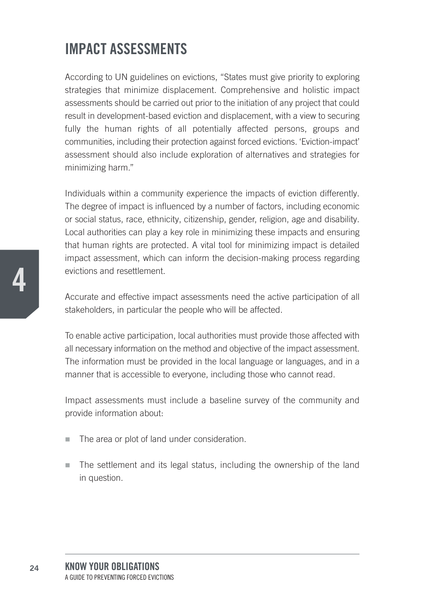## **ImpACT ASSeSSmeNTS**

According to UN guidelines on evictions, "States must give priority to exploring strategies that minimize displacement. Comprehensive and holistic impact assessments should be carried out prior to the initiation of any project that could result in development-based eviction and displacement, with a view to securing fully the human rights of all potentially affected persons, groups and communities, including their protection against forced evictions. 'Eviction-impact' assessment should also include exploration of alternatives and strategies for minimizing harm."

Individuals within a community experience the impacts of eviction differently. The degree of impact is influenced by a number of factors, including economic or social status, race, ethnicity, citizenship, gender, religion, age and disability. Local authorities can play a key role in minimizing these impacts and ensuring that human rights are protected. A vital tool for minimizing impact is detailed impact assessment, which can inform the decision-making process regarding evictions and resettlement.

Accurate and effective impact assessments need the active participation of all stakeholders, in particular the people who will be affected.

To enable active participation, local authorities must provide those affected with all necessary information on the method and objective of the impact assessment. The information must be provided in the local language or languages, and in a manner that is accessible to everyone, including those who cannot read.

Impact assessments must include a baseline survey of the community and provide information about:

- $\blacksquare$  The area or plot of land under consideration.
- $\blacksquare$  The settlement and its legal status, including the ownership of the land in question.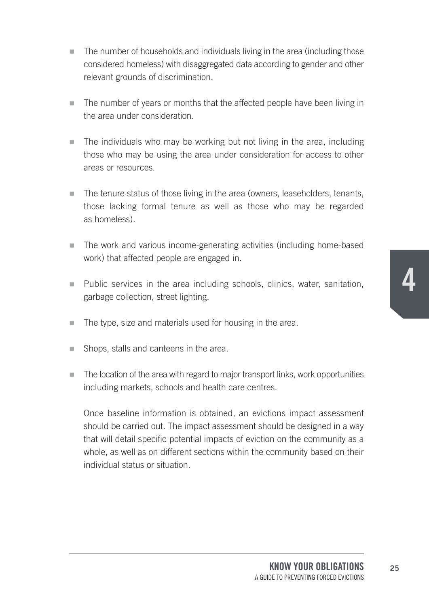- $\blacksquare$  The number of households and individuals living in the area (including those considered homeless) with disaggregated data according to gender and other relevant grounds of discrimination.
- n The number of years or months that the affected people have been living in the area under consideration.
- $\blacksquare$  The individuals who may be working but not living in the area, including those who may be using the area under consideration for access to other areas or resources.
- The tenure status of those living in the area (owners, leaseholders, tenants, those lacking formal tenure as well as those who may be regarded as homeless).
- $\blacksquare$  The work and various income-generating activities (including home-based work) that affected people are engaged in.
- Public services in the area including schools, clinics, water, sanitation, garbage collection, street lighting.
- $\blacksquare$  The type, size and materials used for housing in the area.
- $\blacksquare$  Shops, stalls and canteens in the area.
- $\blacksquare$  The location of the area with regard to major transport links, work opportunities including markets, schools and health care centres.

Once baseline information is obtained, an evictions impact assessment should be carried out. The impact assessment should be designed in a way that will detail specific potential impacts of eviction on the community as a whole, as well as on different sections within the community based on their individual status or situation.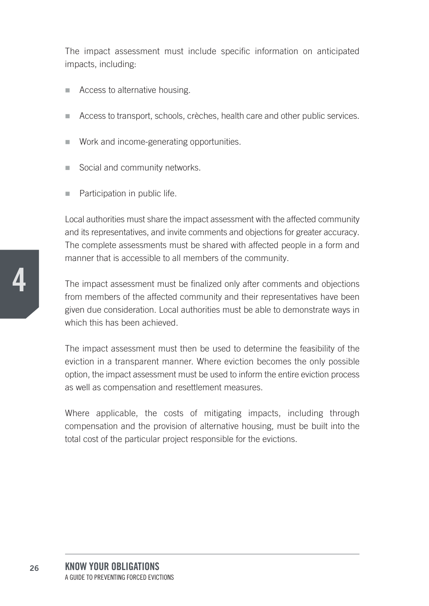The impact assessment must include specific information on anticipated impacts, including:

- $\blacksquare$  Access to alternative housing.
- Access to transport, schools, crèches, health care and other public services.
- $\blacksquare$  Work and income-generating opportunities.
- $\blacksquare$  Social and community networks.
- Participation in public life.

Local authorities must share the impact assessment with the affected community and its representatives, and invite comments and objections for greater accuracy. The complete assessments must be shared with affected people in a form and manner that is accessible to all members of the community.

The impact assessment must be finalized only after comments and objections from members of the affected community and their representatives have been given due consideration. Local authorities must be able to demonstrate ways in which this has been achieved.

The impact assessment must then be used to determine the feasibility of the eviction in a transparent manner. Where eviction becomes the only possible option, the impact assessment must be used to inform the entire eviction process as well as compensation and resettlement measures.

Where applicable, the costs of mitigating impacts, including through compensation and the provision of alternative housing, must be built into the total cost of the particular project responsible for the evictions.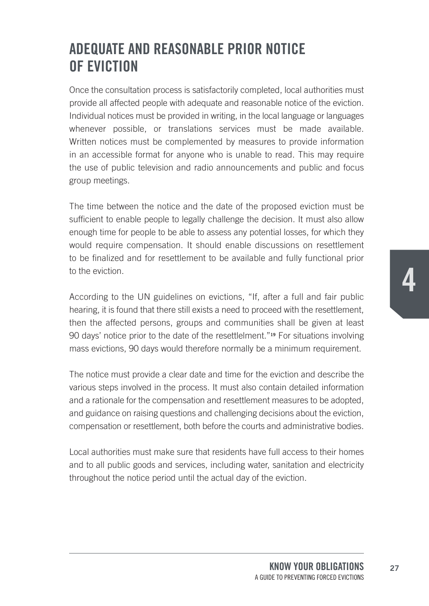## **AdeqUATe ANd ReASONABLe pRIOR NOTICe Of evICTION**

Once the consultation process is satisfactorily completed, local authorities must provide all affected people with adequate and reasonable notice of the eviction. Individual notices must be provided in writing, in the local language or languages whenever possible, or translations services must be made available. Written notices must be complemented by measures to provide information in an accessible format for anyone who is unable to read. This may require the use of public television and radio announcements and public and focus group meetings.

The time between the notice and the date of the proposed eviction must be sufficient to enable people to legally challenge the decision. It must also allow enough time for people to be able to assess any potential losses, for which they would require compensation. It should enable discussions on resettlement to be finalized and for resettlement to be available and fully functional prior to the eviction.

According to the UN guidelines on evictions, "If, after a full and fair public hearing, it is found that there still exists a need to proceed with the resettlement, then the affected persons, groups and communities shall be given at least 90 days' notice prior to the date of the resettlelment."**<sup>19</sup>** For situations involving mass evictions, 90 days would therefore normally be a minimum requirement.

The notice must provide a clear date and time for the eviction and describe the various steps involved in the process. It must also contain detailed information and a rationale for the compensation and resettlement measures to be adopted, and guidance on raising questions and challenging decisions about the eviction, compensation or resettlement, both before the courts and administrative bodies.

Local authorities must make sure that residents have full access to their homes and to all public goods and services, including water, sanitation and electricity throughout the notice period until the actual day of the eviction.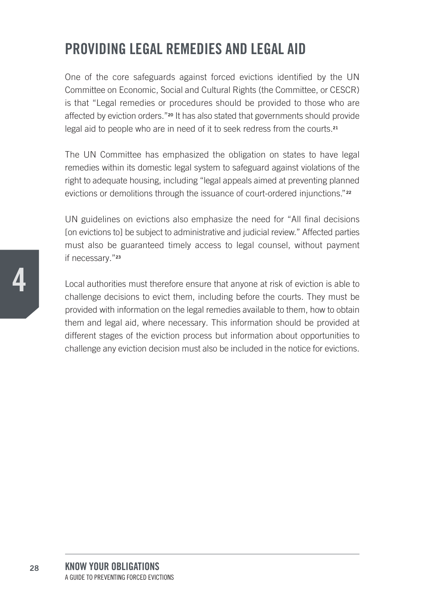## **pROvIdING LeGAL RemedIeS ANd LeGAL AId**

One of the core safeguards against forced evictions identified by the UN Committee on Economic, Social and Cultural Rights (the Committee, or CESCR) is that "Legal remedies or procedures should be provided to those who are affected by eviction orders."**<sup>20</sup>** It has also stated that governments should provide legal aid to people who are in need of it to seek redress from the courts.**<sup>21</sup>**

The UN Committee has emphasized the obligation on states to have legal remedies within its domestic legal system to safeguard against violations of the right to adequate housing, including "legal appeals aimed at preventing planned evictions or demolitions through the issuance of court-ordered injunctions."**<sup>22</sup>**

UN guidelines on evictions also emphasize the need for "All final decisions [on evictions to] be subject to administrative and judicial review." Affected parties must also be guaranteed timely access to legal counsel, without payment if necessary."**<sup>23</sup>**

Local authorities must therefore ensure that anyone at risk of eviction is able to challenge decisions to evict them, including before the courts. They must be provided with information on the legal remedies available to them, how to obtain them and legal aid, where necessary. This information should be provided at different stages of the eviction process but information about opportunities to challenge any eviction decision must also be included in the notice for evictions.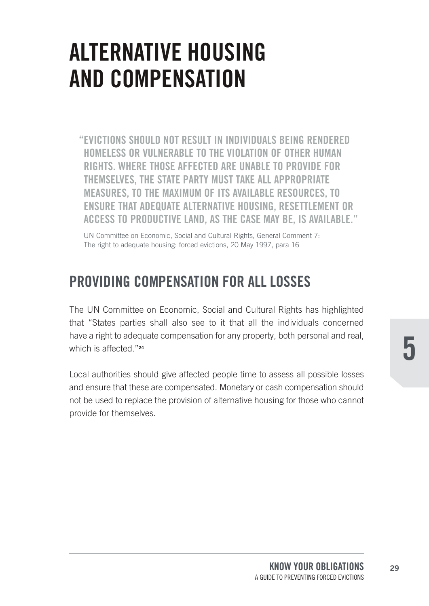## **ALTERNATIVE HOUSING AND COMPENSATION**

"EVICTIONS SHOULD NOT RESULT IN INDIVIDUALS BEING RENDERED HOMELESS OR VULNERABLE TO THE VIOLATION OF OTHER HUMAN RIGHTS. WHERE THOSE AFFECTED ARE UNABLE TO PROVIDE FOR THEMSELVES, THE STATE PARTY MUST TAKE ALL APPROPRIATE MEASURES. TO THE MAXIMUM OF ITS AVAILABLE RESOURCES. TO ENSURE THAT ADEQUATE ALTERNATIVE HOUSING, RESETTLEMENT OR ACCESS TO PRODUCTIVE LAND, AS THE CASE MAY BE, IS AVAILABLE."

UN Committee on Economic, Social and Cultural Rights, General Comment 7: The right to adequate housing: forced evictions, 20 May 1997, para 16

### PROVIDING COMPENSATION FOR ALL LOSSES

The UN Committee on Economic, Social and Cultural Rights has highlighted that "States parties shall also see to it that all the individuals concerned have a right to adequate compensation for any property, both personal and real, which is affected "24

Local authorities should give affected people time to assess all possible losses and ensure that these are compensated. Monetary or cash compensation should not be used to replace the provision of alternative housing for those who cannot provide for themselves.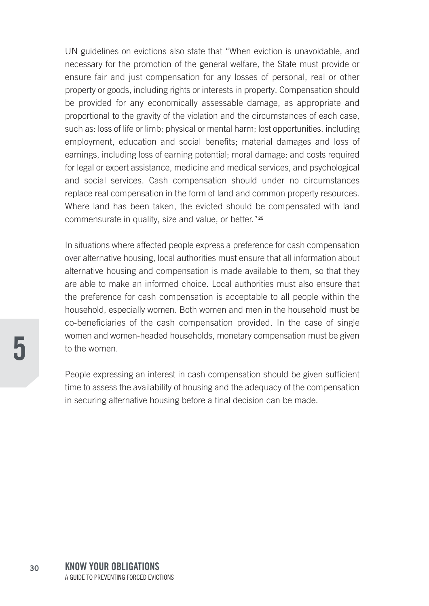UN guidelines on evictions also state that "When eviction is unavoidable, and necessary for the promotion of the general welfare, the State must provide or ensure fair and just compensation for any losses of personal, real or other property or goods, including rights or interests in property. Compensation should be provided for any economically assessable damage, as appropriate and proportional to the gravity of the violation and the circumstances of each case, such as: loss of life or limb; physical or mental harm; lost opportunities, including employment, education and social benefits; material damages and loss of earnings, including loss of earning potential; moral damage; and costs required for legal or expert assistance, medicine and medical services, and psychological and social services. Cash compensation should under no circumstances replace real compensation in the form of land and common property resources. Where land has been taken, the evicted should be compensated with land commensurate in quality, size and value, or better."**<sup>25</sup>**

In situations where affected people express a preference for cash compensation over alternative housing, local authorities must ensure that all information about alternative housing and compensation is made available to them, so that they are able to make an informed choice. Local authorities must also ensure that the preference for cash compensation is acceptable to all people within the household, especially women. Both women and men in the household must be co-beneficiaries of the cash compensation provided. In the case of single women and women-headed households, monetary compensation must be given to the women.

People expressing an interest in cash compensation should be given sufficient time to assess the availability of housing and the adequacy of the compensation in securing alternative housing before a final decision can be made.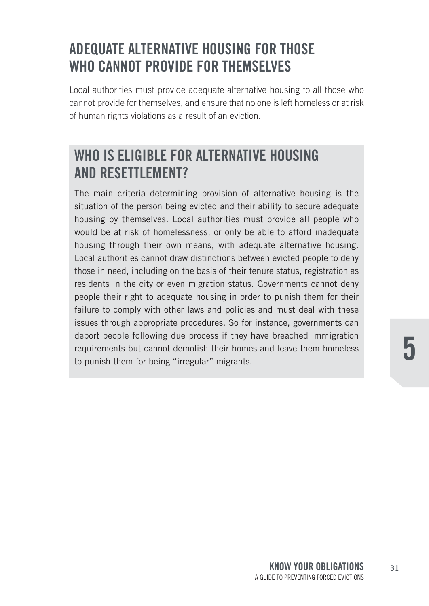## **AdeqUATe ALTeRNATIve hOUSING fOR ThOSe WhO CANNOT pROvIde fOR ThemSeLveS**

Local authorities must provide adequate alternative housing to all those who cannot provide for themselves, and ensure that no one is left homeless or at risk of human rights violations as a result of an eviction.

### **WhO IS eLIGIBLe fOR ALTeRNATIve hOUSING ANd ReSeTTLemeNT?**

The main criteria determining provision of alternative housing is the situation of the person being evicted and their ability to secure adequate housing by themselves. Local authorities must provide all people who would be at risk of homelessness, or only be able to afford inadequate housing through their own means, with adequate alternative housing. Local authorities cannot draw distinctions between evicted people to deny those in need, including on the basis of their tenure status, registration as residents in the city or even migration status. Governments cannot deny people their right to adequate housing in order to punish them for their failure to comply with other laws and policies and must deal with these issues through appropriate procedures. So for instance, governments can deport people following due process if they have breached immigration requirements but cannot demolish their homes and leave them homeless to punish them for being "irregular" migrants.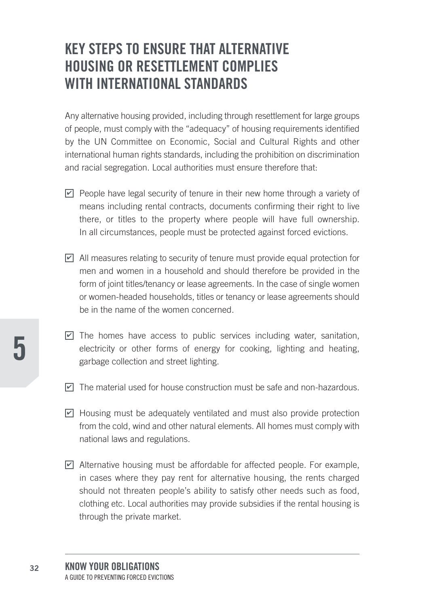### **KeY STepS TO eNSURe ThAT ALTeRNATIve hOUSING OR ReSeTTLemeNT COmpLIeS WITh INTeRNATIONAL STANdARdS**

Any alternative housing provided, including through resettlement for large groups of people, must comply with the "adequacy" of housing requirements identified by the UN Committee on Economic, Social and Cultural Rights and other international human rights standards, including the prohibition on discrimination and racial segregation. Local authorities must ensure therefore that:

- $\Box$  People have legal security of tenure in their new home through a variety of means including rental contracts, documents confirming their right to live there, or titles to the property where people will have full ownership. In all circumstances, people must be protected against forced evictions.
- $\Box$  All measures relating to security of tenure must provide equal protection for men and women in a household and should therefore be provided in the form of joint titles/tenancy or lease agreements. In the case of single women or women-headed households, titles or tenancy or lease agreements should be in the name of the women concerned.
- $\blacksquare$  The homes have access to public services including water, sanitation, electricity or other forms of energy for cooking, lighting and heating, garbage collection and street lighting.
- $\blacksquare$  The material used for house construction must be safe and non-hazardous.
- $\Box$  Housing must be adequately ventilated and must also provide protection from the cold, wind and other natural elements. All homes must comply with national laws and regulations.
- ◘ Alternative housing must be affordable for affected people. For example, in cases where they pay rent for alternative housing, the rents charged should not threaten people's ability to satisfy other needs such as food, clothing etc. Local authorities may provide subsidies if the rental housing is through the private market.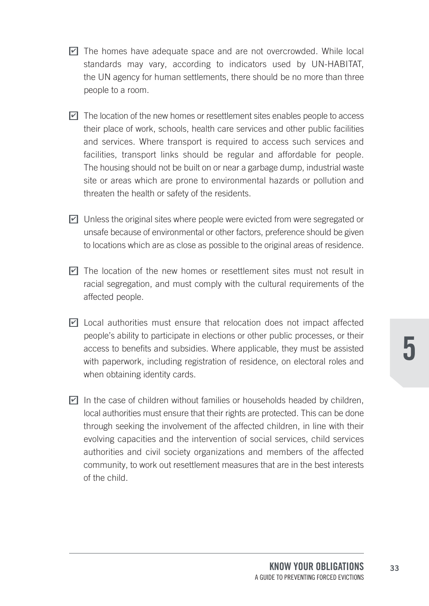- <u>∠</u> The homes have adequate space and are not overcrowded. While local standards may vary, according to indicators used by UN-HABITAT, the UN agency for human settlements, there should be no more than three people to a room.
- $\blacksquare$  The location of the new homes or resettlement sites enables people to access their place of work, schools, health care services and other public facilities and services. Where transport is required to access such services and facilities, transport links should be regular and affordable for people. The housing should not be built on or near a garbage dump, industrial waste site or areas which are prone to environmental hazards or pollution and threaten the health or safety of the residents.
- $\Box$  Unless the original sites where people were evicted from were segregated or unsafe because of environmental or other factors, preference should be given to locations which are as close as possible to the original areas of residence.
- $\blacksquare$  The location of the new homes or resettlement sites must not result in racial segregation, and must comply with the cultural requirements of the affected people.
- $\Box$  Local authorities must ensure that relocation does not impact affected people's ability to participate in elections or other public processes, or their access to benefits and subsidies. Where applicable, they must be assisted with paperwork, including registration of residence, on electoral roles and when obtaining identity cards.
- In the case of children without families or households headed by children, local authorities must ensure that their rights are protected. This can be done through seeking the involvement of the affected children, in line with their evolving capacities and the intervention of social services, child services authorities and civil society organizations and members of the affected community, to work out resettlement measures that are in the best interests of the child.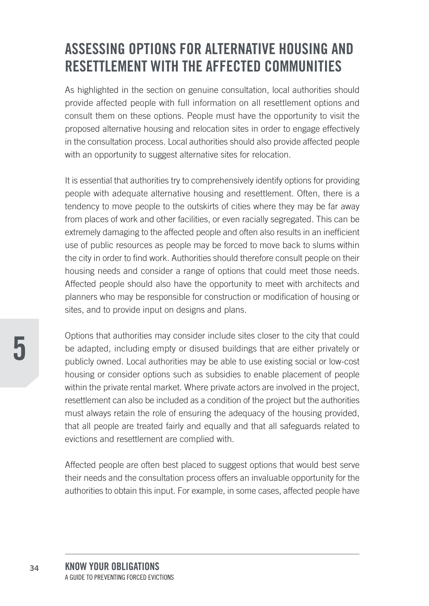## **ASSeSSING OpTIONS fOR ALTeRNATIve hOUSING ANd ReSeTTLemeNT WITh The AffeCTed COmmUNITIeS**

As highlighted in the section on genuine consultation, local authorities should provide affected people with full information on all resettlement options and consult them on these options. People must have the opportunity to visit the proposed alternative housing and relocation sites in order to engage effectively in the consultation process. Local authorities should also provide affected people with an opportunity to suggest alternative sites for relocation.

It is essential that authorities try to comprehensively identify options for providing people with adequate alternative housing and resettlement. Often, there is a tendency to move people to the outskirts of cities where they may be far away from places of work and other facilities, or even racially segregated. This can be extremely damaging to the affected people and often also results in an inefficient use of public resources as people may be forced to move back to slums within the city in order to find work. Authorities should therefore consult people on their housing needs and consider a range of options that could meet those needs. Affected people should also have the opportunity to meet with architects and planners who may be responsible for construction or modification of housing or sites, and to provide input on designs and plans.

Options that authorities may consider include sites closer to the city that could be adapted, including empty or disused buildings that are either privately or publicly owned. Local authorities may be able to use existing social or low-cost housing or consider options such as subsidies to enable placement of people within the private rental market. Where private actors are involved in the project, resettlement can also be included as a condition of the project but the authorities must always retain the role of ensuring the adequacy of the housing provided, that all people are treated fairly and equally and that all safeguards related to evictions and resettlement are complied with.

Affected people are often best placed to suggest options that would best serve their needs and the consultation process offers an invaluable opportunity for the authorities to obtain this input. For example, in some cases, affected people have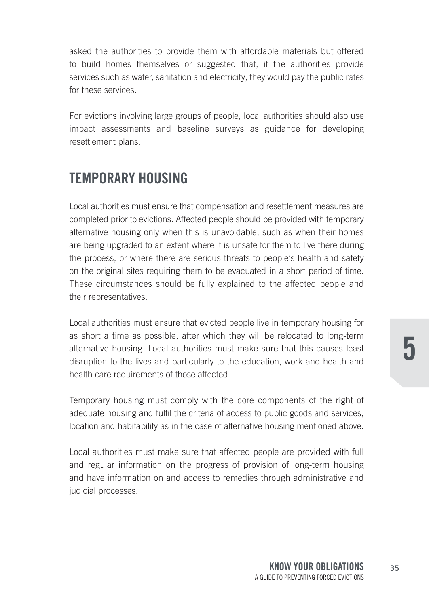asked the authorities to provide them with affordable materials but offered to build homes themselves or suggested that, if the authorities provide services such as water, sanitation and electricity, they would pay the public rates for these services.

For evictions involving large groups of people, local authorities should also use impact assessments and baseline surveys as guidance for developing resettlement plans.

### **TempORARY hOUSING**

Local authorities must ensure that compensation and resettlement measures are completed prior to evictions. Affected people should be provided with temporary alternative housing only when this is unavoidable, such as when their homes are being upgraded to an extent where it is unsafe for them to live there during the process, or where there are serious threats to people's health and safety on the original sites requiring them to be evacuated in a short period of time. These circumstances should be fully explained to the affected people and their representatives.

Local authorities must ensure that evicted people live in temporary housing for as short a time as possible, after which they will be relocated to long-term alternative housing. Local authorities must make sure that this causes least disruption to the lives and particularly to the education, work and health and health care requirements of those affected.

Temporary housing must comply with the core components of the right of adequate housing and fulfil the criteria of access to public goods and services, location and habitability as in the case of alternative housing mentioned above.

Local authorities must make sure that affected people are provided with full and regular information on the progress of provision of long-term housing and have information on and access to remedies through administrative and judicial processes.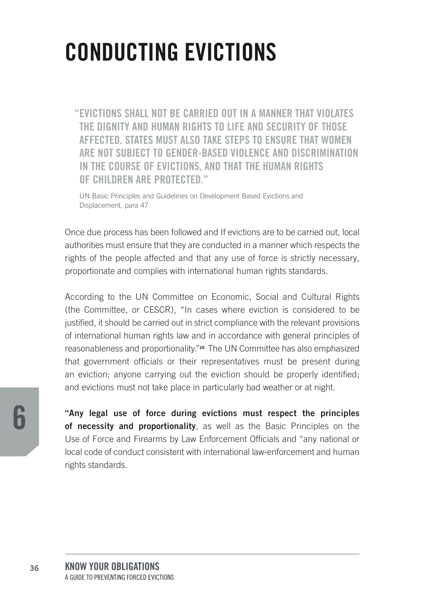## **CONDUCTING EVICTIONS**

"EVICTIONS SHALL NOT BE CARRIED OUT IN A MANNER THAT VIOLATES THE DIGNITY AND HUMAN RIGHTS TO LIFE AND SECURITY OF THOSE AFFECTED. STATES MUST ALSO TAKE STEPS TO ENSURE THAT WOMEN ARE NOT SUBJECT TO GENDER-BASED VIOLENCE AND DISCRIMINATION IN THE COURSE OF EVICTIONS, AND THAT THE HUMAN RIGHTS OF CHILDREN ARE PROTECTED."

UN Basic Principles and Guidelines on Development Based Evictions and Displacement, para 47

Once due process has been followed and If evictions are to be carried out, local authorities must ensure that they are conducted in a manner which respects the rights of the people affected and that any use of force is strictly necessary. proportionate and complies with international human rights standards.

According to the UN Committee on Economic, Social and Cultural Rights (the Committee, or CESCR), "In cases where eviction is considered to be justified, it should be carried out in strict compliance with the relevant provisions of international human rights law and in accordance with general principles of reasonableness and proportionality."<sup>26</sup> The UN Committee has also emphasized that government officials or their representatives must be present during an eviction; anyone carrying out the eviction should be properly identified; and evictions must not take place in particularly bad weather or at night.

"Any legal use of force during evictions must respect the principles of necessity and proportionality, as well as the Basic Principles on the Use of Force and Firearms by Law Enforcement Officials and "any national or local code of conduct consistent with international law-enforcement and human rights standards.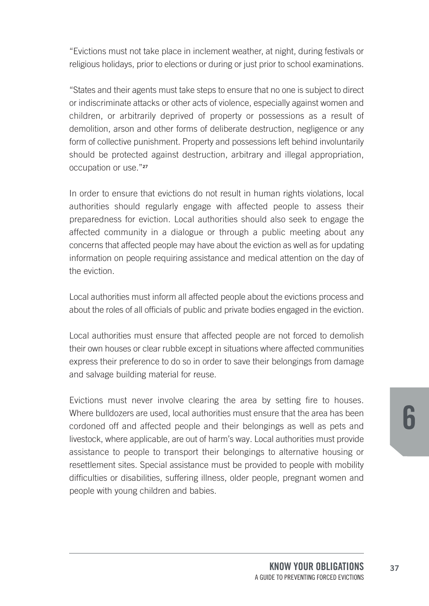"Evictions must not take place in inclement weather, at night, during festivals or religious holidays, prior to elections or during or just prior to school examinations.

"States and their agents must take steps to ensure that no one is subject to direct or indiscriminate attacks or other acts of violence, especially against women and children, or arbitrarily deprived of property or possessions as a result of demolition, arson and other forms of deliberate destruction, negligence or any form of collective punishment. Property and possessions left behind involuntarily should be protected against destruction, arbitrary and illegal appropriation, occupation or use."**<sup>27</sup>**

In order to ensure that evictions do not result in human rights violations, local authorities should regularly engage with affected people to assess their preparedness for eviction. Local authorities should also seek to engage the affected community in a dialogue or through a public meeting about any concerns that affected people may have about the eviction as well as for updating information on people requiring assistance and medical attention on the day of the eviction.

Local authorities must inform all affected people about the evictions process and about the roles of all officials of public and private bodies engaged in the eviction.

Local authorities must ensure that affected people are not forced to demolish their own houses or clear rubble except in situations where affected communities express their preference to do so in order to save their belongings from damage and salvage building material for reuse.

Evictions must never involve clearing the area by setting fire to houses. Where bulldozers are used, local authorities must ensure that the area has been cordoned off and affected people and their belongings as well as pets and livestock, where applicable, are out of harm's way. Local authorities must provide assistance to people to transport their belongings to alternative housing or resettlement sites. Special assistance must be provided to people with mobility difficulties or disabilities, suffering illness, older people, pregnant women and people with young children and babies.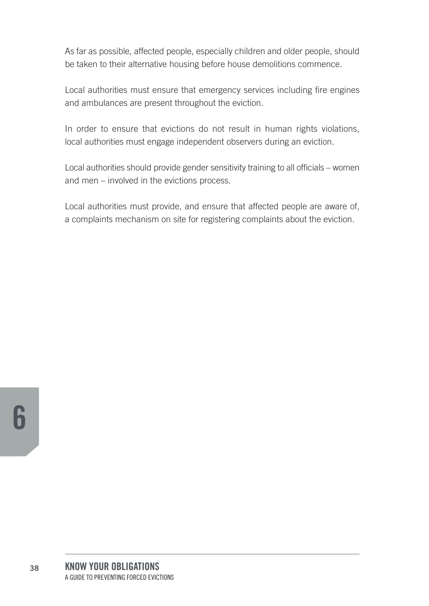As far as possible, affected people, especially children and older people, should be taken to their alternative housing before house demolitions commence.

Local authorities must ensure that emergency services including fire engines and ambulances are present throughout the eviction.

In order to ensure that evictions do not result in human rights violations, local authorities must engage independent observers during an eviction.

Local authorities should provide gender sensitivity training to all officials – women and men – involved in the evictions process.

Local authorities must provide, and ensure that affected people are aware of, a complaints mechanism on site for registering complaints about the eviction.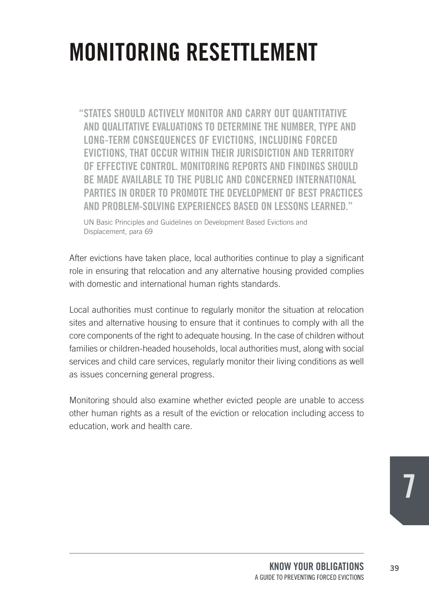## **MONITORING RESETTLEMENT**

"STATES SHOULD ACTIVELY MONITOR AND CARRY OUT QUANTITATIVE AND QUALITATIVE EVALUATIONS TO DETERMINE THE NUMBER. TYPE AND LONG-TERM CONSEQUENCES OF EVICTIONS, INCLUDING FORCED EVICTIONS. THAT OCCUR WITHIN THEIR JURISDICTION AND TERRITORY OF EFFECTIVE CONTROL, MONITORING REPORTS AND FINDINGS SHOULD BE MADE AVAILABLE TO THE PUBLIC AND CONCERNED INTERNATIONAL PARTIES IN ORDER TO PROMOTE THE DEVELOPMENT OF BEST PRACTICES AND PROBLEM-SOLVING EXPERIENCES BASED ON LESSONS LEARNED "

UN Basic Principles and Guidelines on Development Based Evictions and Displacement, para 69

After evictions have taken place, local authorities continue to play a significant role in ensuring that relocation and any alternative housing provided complies with domestic and international human rights standards.

Local authorities must continue to regularly monitor the situation at relocation sites and alternative housing to ensure that it continues to comply with all the core components of the right to adequate housing. In the case of children without families or children-headed households, local authorities must, along with social services and child care services, regularly monitor their living conditions as well as issues concerning general progress.

Monitoring should also examine whether evicted people are unable to access other human rights as a result of the eviction or relocation including access to education, work and health care.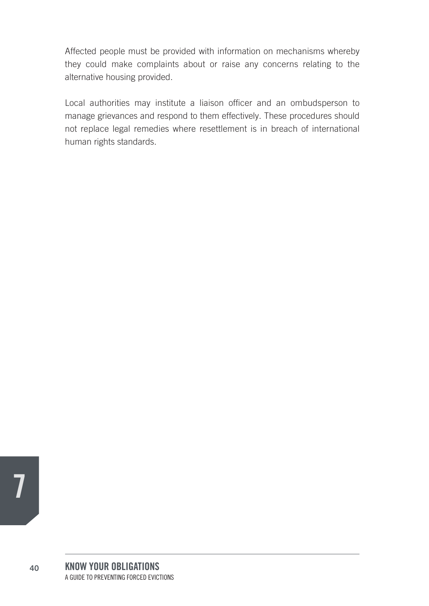Affected people must be provided with information on mechanisms whereby they could make complaints about or raise any concerns relating to the alternative housing provided.

Local authorities may institute a liaison officer and an ombudsperson to manage grievances and respond to them effectively. These procedures should not replace legal remedies where resettlement is in breach of international human rights standards.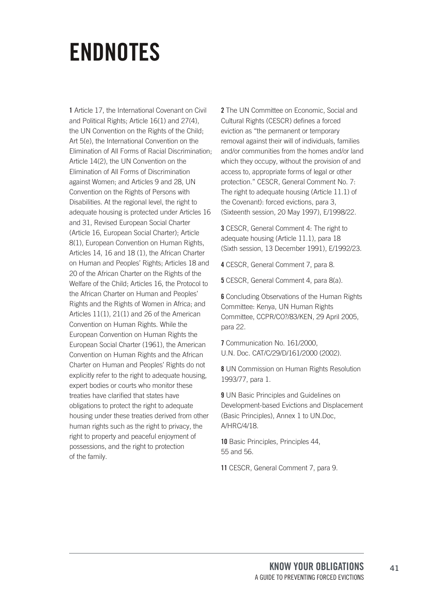## **eNdNOTeS**

**1** Article 17, the International Covenant on Civil and Political Rights; Article 16(1) and 27(4), the UN Convention on the Rights of the Child; Art 5(e), the International Convention on the Elimination of All Forms of Racial Discrimination; Article 14(2), the UN Convention on the Elimination of All Forms of Discrimination against Women; and Articles 9 and 28, UN Convention on the Rights of Persons with Disabilities. At the regional level, the right to adequate housing is protected under Articles 16 and 31, Revised European Social Charter (Article 16, European Social Charter); Article 8(1), European Convention on Human Rights, Articles 14, 16 and 18 (1), the African Charter on Human and Peoples' Rights; Articles 18 and 20 of the African Charter on the Rights of the Welfare of the Child; Articles 16, the Protocol to the African Charter on Human and Peoples' Rights and the Rights of Women in Africa; and Articles 11(1), 21(1) and 26 of the American Convention on Human Rights. While the European Convention on Human Rights the European Social Charter (1961), the American Convention on Human Rights and the African Charter on Human and Peoples' Rights do not explicitly refer to the right to adequate housing, expert bodies or courts who monitor these treaties have clarified that states have obligations to protect the right to adequate housing under these treaties derived from other human rights such as the right to privacy, the right to property and peaceful enjoyment of possessions, and the right to protection of the family.

**2** The UN Committee on Economic, Social and Cultural Rights (CESCR) defines a forced eviction as "the permanent or temporary removal against their will of individuals, families and/or communities from the homes and/or land which they occupy, without the provision of and access to, appropriate forms of legal or other protection." CESCR, General Comment No. 7: The right to adequate housing (Article 11.1) of the Covenant): forced evictions, para 3, (Sixteenth session, 20 May 1997), E/1998/22.

**3** CESCR, General Comment 4: The right to adequate housing (Article 11.1), para 18 (Sixth session, 13 December 1991), E/1992/23.

**4** CESCR, General Comment 7, para 8.

**5** CESCR, General Comment 4, para 8(a).

**6** Concluding Observations of the Human Rights Committee: Kenya, UN Human Rights Committee, CCPR/CO?/83/KEN, 29 April 2005, para 22.

**7** Communication No. 161/2000, U.N. Doc. CAT/C/29/D/161/2000 (2002).

**8** UN Commission on Human Rights Resolution 1993/77, para 1.

**9** UN Basic Principles and Guidelines on Development-based Evictions and Displacement (Basic Principles), Annex 1 to UN.Doc, A/HRC/4/18.

**10** Basic Principles, Principles 44, 55 and 56.

**11** CESCR, General Comment 7, para 9.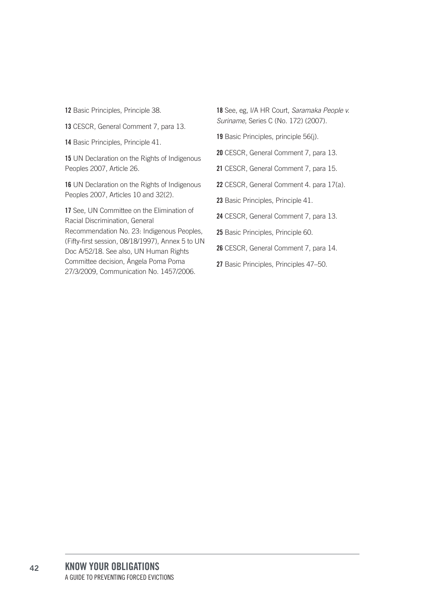**12** Basic Principles, Principle 38.

**13** CESCR, General Comment 7, para 13.

**14** Basic Principles, Principle 41.

**15** UN Declaration on the Rights of Indigenous Peoples 2007, Article 26.

**16** UN Declaration on the Rights of Indigenous Peoples 2007, Articles 10 and 32(2).

17 See, UN Committee on the Elimination of Racial Discrimination, General Recommendation No. 23: Indigenous Peoples, (Fifty-first session, 08/18/1997), Annex 5 to UN Doc A/52/18. See also, UN Human Rights Committee decision, Ángela Poma Poma 27/3/2009, Communication No. 1457/2006.

**18** See, eg, I/A HR Court, Saramaka People v. Suriname, Series C (No. 172) (2007).

**19** Basic Principles, principle 56(j).

**20** CESCR, General Comment 7, para 13.

**21** CESCR, General Comment 7, para 15.

**22** CESCR, General Comment 4. para 17(a).

**23** Basic Principles, Principle 41.

**24** CESCR, General Comment 7, para 13.

**25** Basic Principles, Principle 60.

**26** CESCR, General Comment 7, para 14.

**27** Basic Principles, Principles 47–50.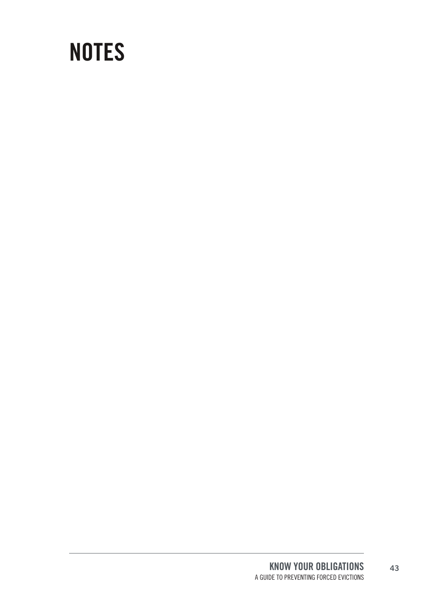## **NOTeS**